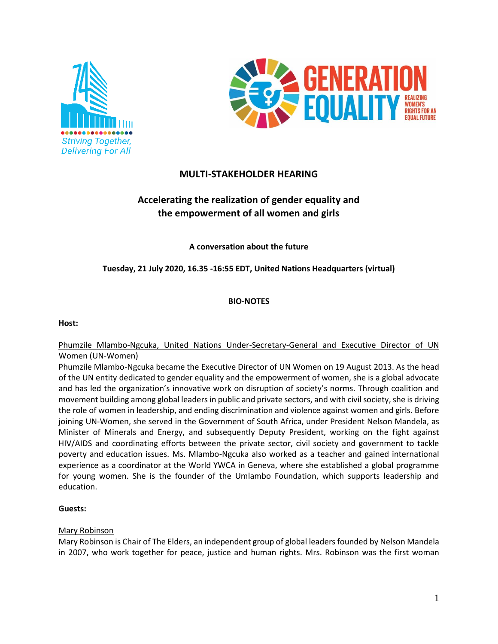



## **MULTI-STAKEHOLDER HEARING**

# **Accelerating the realization of gender equality and the empowerment of all women and girls**

**A conversation about the future** 

## **Tuesday, 21 July 2020, 16.35 -16:55 EDT, United Nations Headquarters (virtual)**

## **BIO-NOTES**

#### **Host:**

## Phumzile Mlambo-Ngcuka, United Nations Under-Secretary-General and Executive Director of UN Women (UN-Women)

Phumzile Mlambo-Ngcuka became the Executive Director of UN Women on 19 August 2013. As the head of the UN entity dedicated to gender equality and the empowerment of women, she is a global advocate and has led the organization's innovative work on disruption of society's norms. Through coalition and movement building among global leaders in public and private sectors, and with civil society, she is driving the role of women in leadership, and ending discrimination and violence against women and girls. Before joining UN-Women, she served in the Government of South Africa, under President Nelson Mandela, as Minister of Minerals and Energy, and subsequently Deputy President, working on the fight against HIV/AIDS and coordinating efforts between the private sector, civil society and government to tackle poverty and education issues. Ms. Mlambo-Ngcuka also worked as a teacher and gained international experience as a coordinator at the World YWCA in Geneva, where she established a global programme for young women. She is the founder of the Umlambo Foundation, which supports leadership and education.

## **Guests:**

## Mary Robinson

Mary Robinson is Chair of The Elders, an independent group of global leaders founded by Nelson Mandela in 2007, who work together for peace, justice and human rights. Mrs. Robinson was the first woman